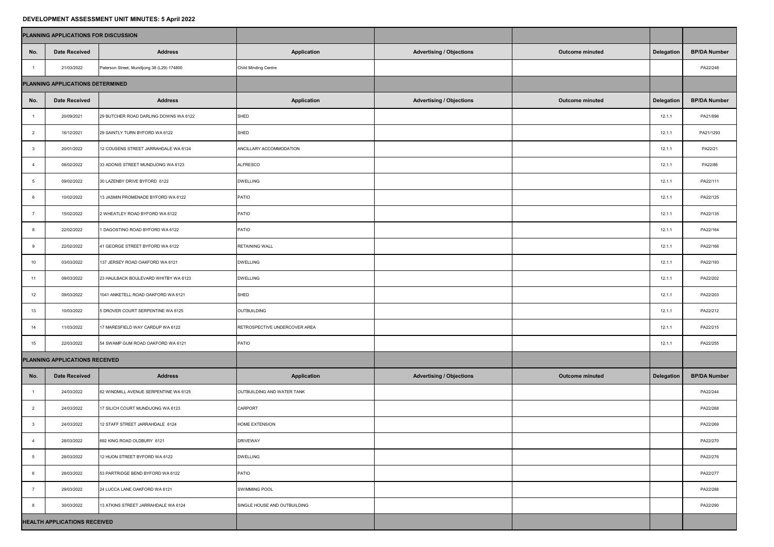## **DEVELOPMENT ASSESSMENT UNIT MINUTES: 5 April 2022**

|                                  | PLANNING APPLICATIONS FOR DISCUSSION |                                            |                               |                                 |                        |                   |                     |
|----------------------------------|--------------------------------------|--------------------------------------------|-------------------------------|---------------------------------|------------------------|-------------------|---------------------|
| No.                              | <b>Date Received</b>                 | <b>Address</b>                             | <b>Application</b>            | <b>Advertising / Objections</b> | <b>Outcome minuted</b> | <b>Delegation</b> | <b>BP/DA Number</b> |
|                                  | 21/03/2022                           | Paterson Street, Mundijong 38 (L29) 174800 | <b>Child Minding Centre</b>   |                                 |                        |                   | PA22/248            |
| PLANNING APPLICATIONS DETERMINED |                                      |                                            |                               |                                 |                        |                   |                     |
| No.                              | <b>Date Received</b>                 | <b>Address</b>                             | <b>Application</b>            | <b>Advertising / Objections</b> | <b>Outcome minuted</b> | <b>Delegation</b> | <b>BP/DA Number</b> |
|                                  | 20/09/2021                           | 29 BUTCHER ROAD DARLING DOWNS WA 6122      | SHED                          |                                 |                        | 12.1.1            | PA21/896            |
|                                  | 16/12/2021                           | 29 SAINTLY TURN BYFORD WA 6122             | SHED                          |                                 | 12.1.1                 | PA21/1293         |                     |
|                                  | 20/01/2022                           | 12 COUSENS STREET JARRAHDALE WA 6124       | ANCILLARY ACCOMMODATION       |                                 | 12.1.1                 | PA22/21           |                     |
|                                  | 08/02/2022                           | 33 ADONIS STREET MUNDIJONG WA 6123         | <b>ALFRESCO</b>               |                                 | 12.1.1                 | PA22/86           |                     |
|                                  | 09/02/2022                           | 30 LAZENBY DRIVE BYFORD 6122               | <b>DWELLING</b>               |                                 | 12.1.1                 | PA22/111          |                     |
|                                  | 10/02/2022                           | 13 JASMIN PROMENADE BYFORD WA 6122         | <b>PATIO</b>                  |                                 | 12.1.1                 | PA22/125          |                     |
|                                  | 15/02/2022                           | 2 WHEATLEY ROAD BYFORD WA 6122             | PATIO                         |                                 | 12.1.1                 | PA22/135          |                     |
|                                  | 22/02/2022                           | 1 DAGOSTINO ROAD BYFORD WA 6122            | PATIO                         |                                 | 12.1.1                 | PA22/164          |                     |
|                                  | 22/02/2022                           | 41 GEORGE STREET BYFORD WA 6122            | <b>RETAINING WALL</b>         |                                 | 12.1.1                 | PA22/166          |                     |
| 10                               | 03/03/2022                           | 137 JERSEY ROAD OAKFORD WA 6121            | <b>DWELLING</b>               |                                 | 12.1.1                 | PA22/193          |                     |
| 11                               | 09/03/2022                           | 23 HAULBACK BOULEVARD WHITBY WA 6123       | <b>DWELLING</b>               |                                 | 12.1.1                 | PA22/202          |                     |
| 12                               | 09/03/2022                           | 1041 ANKETELL ROAD OAKFORD WA 6121         | SHED                          |                                 | 12.1.1                 | PA22/203          |                     |
| 13                               | 10/03/2022                           | 5 DROVER COURT SERPENTINE WA 6125          | OUTBUILDING                   |                                 | 12.1.1                 | PA22/212          |                     |
| 14                               | 11/03/2022                           | 17 MARESFIELD WAY CARDUP WA 6122           | RETROSPECTIVE UNDERCOVER AREA |                                 | 12.1.1                 | PA22/215          |                     |
| 15                               | 22/03/2022                           | 54 SWAMP GUM ROAD OAKFORD WA 6121          | PATIO                         |                                 |                        | 12.1.1            | PA22/255            |
| PLANNING APPLICATIONS RECEIVED   |                                      |                                            |                               |                                 |                        |                   |                     |
| No.                              | <b>Date Received</b>                 | <b>Address</b>                             | <b>Application</b>            | <b>Advertising / Objections</b> | <b>Outcome minuted</b> | <b>Delegation</b> | <b>BP/DA Number</b> |
|                                  | 24/03/2022                           | 62 WINDMILL AVENUE SERPENTINE WA 6125      | OUTBUILDING AND WATER TANK    |                                 |                        |                   | PA22/244            |
|                                  | 24/03/2022                           | 17 SILICH COURT MUNDIJONG WA 6123          | <b>CARPORT</b>                |                                 |                        |                   | PA22/268            |
|                                  | 24/03/2022                           | 12 STAFF STREET JARRAHDALE 6124            | <b>HOME EXTENSION</b>         |                                 |                        | PA22/269          |                     |
|                                  | 28/03/2022                           | 692 KING ROAD OLDBURY 6121                 | <b>DRIVEWAY</b>               |                                 |                        | PA22/270          |                     |
|                                  | 28/03/2022                           | 12 HUON STREET BYFORD WA 6122              | <b>DWELLING</b>               |                                 |                        | PA22/276          |                     |
|                                  | 28/03/2022                           | 53 PARTRIDGE BEND BYFORD WA 6122           | PATIO                         |                                 |                        | PA22/277          |                     |
|                                  | 29/03/2022                           | 24 LUCCA LANE OAKFORD WA 6121              | <b>SWIMMING POOL</b>          |                                 |                        | PA22/288          |                     |
|                                  | 30/03/2022                           | 13 ATKINS STREET JARRAHDALE WA 6124        | SINGLE HOUSE AND OUTBUILDING  |                                 |                        |                   | PA22/290            |
|                                  | <b>HEALTH APPLICATIONS RECEIVED</b>  |                                            |                               |                                 |                        |                   |                     |